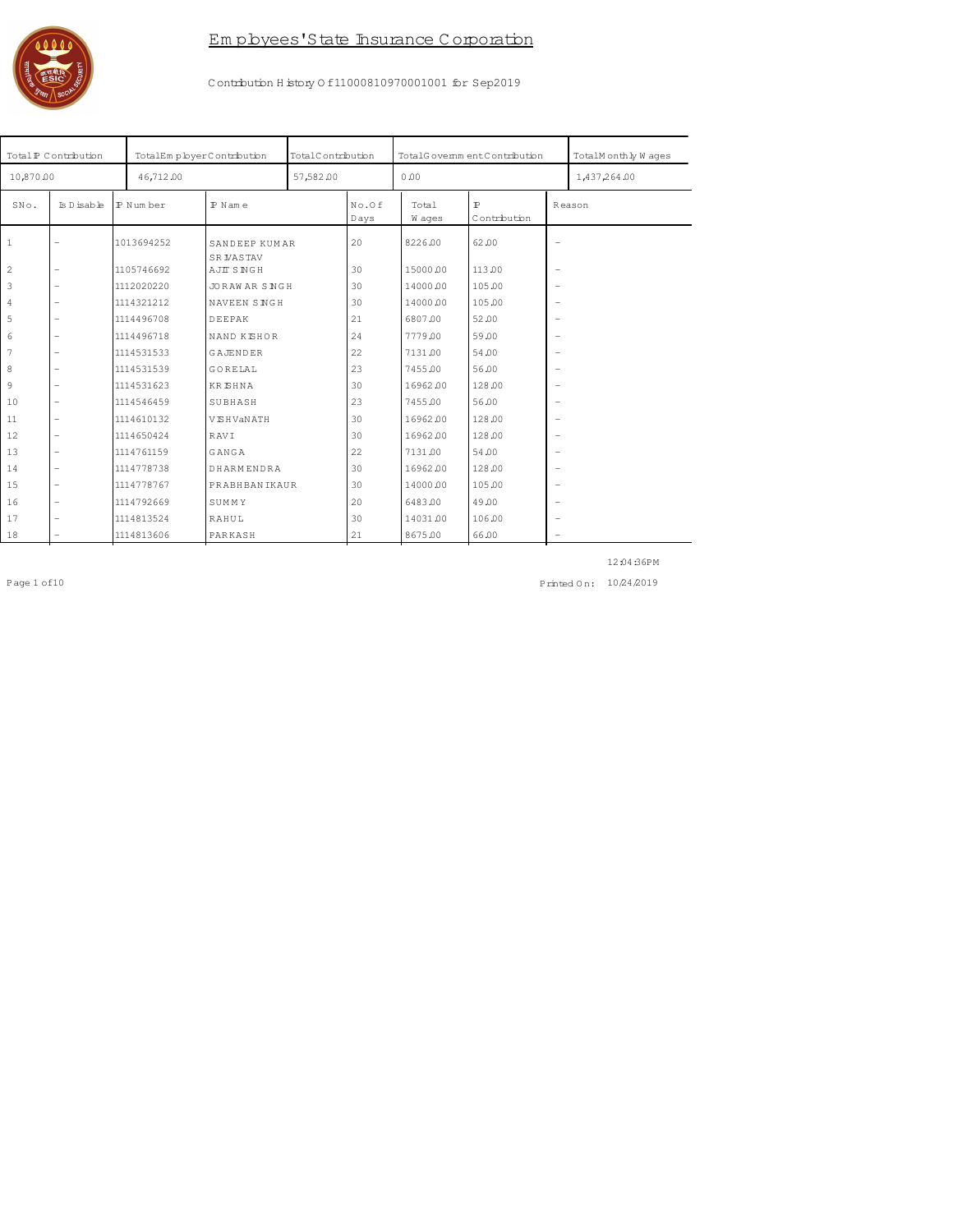

Contrbution History 0 f11000810970001001 for Sep2019

|                | Total P Contribution     | TotalEmpbyerContribution |                                   | TotalContribution |               | TotalGovernmentContribution |                              |                          | TotalMonthly Waqes |
|----------------|--------------------------|--------------------------|-----------------------------------|-------------------|---------------|-----------------------------|------------------------------|--------------------------|--------------------|
| 10,870.00      |                          | 46,712.00                |                                   | 57,582.00         |               | 0.00                        |                              |                          | 1,437,264.00       |
| SNo.           | Is D isable              | P Number                 | $P$ N am e                        |                   | No.Of<br>Days | Total<br>W ages             | $\mathbb{P}$<br>Contribution |                          | Reason             |
| $\overline{1}$ | $\qquad \qquad -$        | 1013694252               | SANDEEP KUMAR<br><b>SR VASTAV</b> |                   | 20            | 8226.00                     | 62.00                        | $\overline{\phantom{0}}$ |                    |
| $\overline{c}$ | $\overline{\phantom{m}}$ | 1105746692               | <b>AJIT SNGH</b>                  |                   | 30            | 15000.00                    | 113.00                       |                          |                    |
| 3              | $\overline{\phantom{m}}$ | 1112020220               | <b>JORAWARSNGH</b>                |                   | 30            | 14000.00                    | 105.00                       | $\overline{\phantom{0}}$ |                    |
| $\overline{4}$ | $\overline{\phantom{m}}$ | 1114321212               | NAVEEN SINGH                      |                   | 30            | 14000.00                    | 105.00                       |                          |                    |
| 5              | $\overline{\phantom{m}}$ | 1114496708               | DEEPAK                            |                   | 21            | 6807.00                     | 52.00                        | $\overline{\phantom{0}}$ |                    |
| $\epsilon$     | $\overline{\phantom{m}}$ | 1114496718               | NAND KISHOR                       |                   | 24            | 7779.00                     | 59.00                        |                          |                    |
| $\overline{7}$ | $\overline{\phantom{m}}$ | 1114531533               | <b>GAJENDER</b>                   |                   | 22            | 7131.00                     | 54.00                        | $\overline{\phantom{0}}$ |                    |
| 8              | $\overline{\phantom{m}}$ | 1114531539               | GORELAL                           |                   | 23            | 7455.00                     | 56.00                        | $\overline{\phantom{a}}$ |                    |
| 9              | $\overline{\phantom{m}}$ | 1114531623               | <b>KRISHNA</b>                    |                   | 30            | 16962.00                    | 128.00                       | $\overline{\phantom{a}}$ |                    |
| 10             | $\overline{\phantom{m}}$ | 1114546459               | SUBHASH                           |                   | 23            | 7455.00                     | 56.00                        | $\overline{\phantom{a}}$ |                    |
| 11             | $\overline{\phantom{a}}$ | 1114610132               | <b>VISHVANATH</b>                 |                   | 30            | 16962.00                    | 128.00                       | $\overline{\phantom{0}}$ |                    |
| 12             | $\overline{\phantom{a}}$ | 1114650424               | RAVI                              |                   | 30            | 16962.00                    | 128.00                       | $\overline{\phantom{a}}$ |                    |
| 13             | $\overline{\phantom{a}}$ | 1114761159               | GANGA                             |                   | 22            | 7131.00                     | 54.00                        | $\overline{\phantom{0}}$ |                    |
| 14             | $\overline{\phantom{a}}$ | 1114778738               | DHARMENDRA                        |                   | 30            | 16962.00                    | 128.00                       | $\overline{\phantom{0}}$ |                    |
| 15             | $\overline{\phantom{a}}$ | 1114778767               | <b>PRABHBANIKAUR</b>              |                   | 30            | 14000.00                    | 105.00                       | $\overline{\phantom{0}}$ |                    |
| 16             | $\overline{\phantom{m}}$ | 1114792669               | SUMMY                             |                   | 20            | 6483.00                     | 49.00                        | $\overline{\phantom{0}}$ |                    |
| 17             | $\overline{\phantom{m}}$ | 1114813524               | RAHUL                             |                   | 30            | 14031.00                    | 106.00                       | $\overline{\phantom{0}}$ |                    |
| 18             |                          | 1114813606               | PARKASH                           |                   | 21            | 8675.00                     | 66.00                        |                          |                    |

 $Page 1 of 10$ 

12:04:36PM

Printed On: 10/24/2019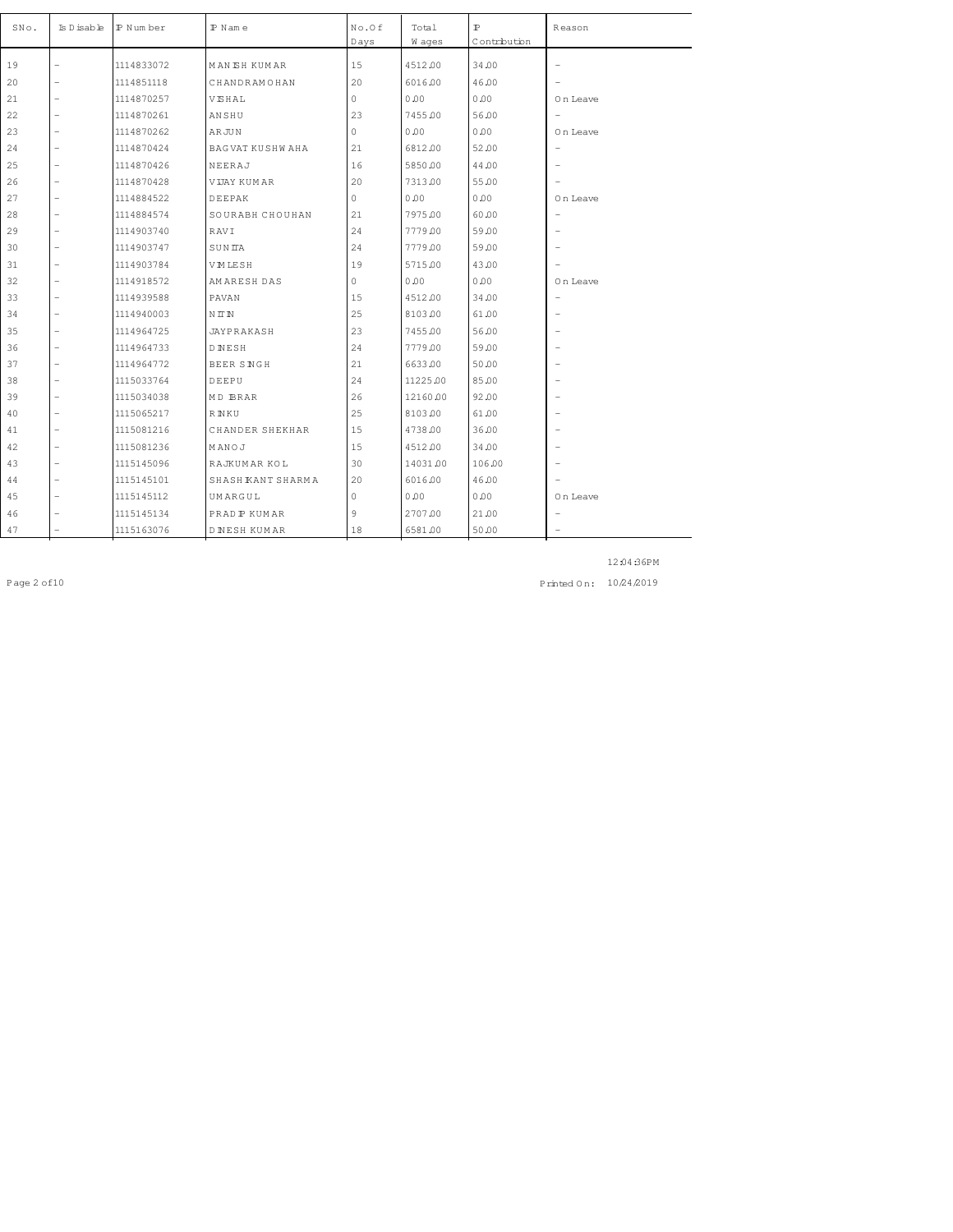| SNo. | Is Disable               | IP Num ber | $P$ N am e          | No.Of<br>Days | Total<br>W ages | $\mathbb{P}$<br>Contribution | Reason                   |
|------|--------------------------|------------|---------------------|---------------|-----------------|------------------------------|--------------------------|
| 19   | $\overline{\phantom{0}}$ | 1114833072 | <b>MANEH KUMAR</b>  | 15            | 4512.00         | 34.00                        | $\overline{\phantom{a}}$ |
|      |                          |            |                     |               |                 |                              |                          |
| 20   |                          | 1114851118 | CHANDRAMOHAN        | 20            | 6016.00         | 46.00                        |                          |
| 21   | $\overline{\phantom{0}}$ | 1114870257 | VISHAL              | 0             | 0.00            | 0.00                         | On Leave                 |
| 22   |                          | 1114870261 | ANSHU               | 23            | 7455.00         | 56.00                        | $\overline{\phantom{m}}$ |
| 23   | $\overline{\phantom{a}}$ | 1114870262 | <b>ARJUN</b>        | $\circ$       | 0.00            | 0.00                         | On Leave                 |
| 24   | $\overline{a}$           | 1114870424 | BAGVAT KUSHWAHA     | 21            | 6812.00         | 52.00                        | $\overline{\phantom{a}}$ |
| 25   | $\overline{\phantom{0}}$ | 1114870426 | NEERAJ              | 16            | 5850.00         | 44.00                        | $\overline{\phantom{0}}$ |
| 26   | $\overline{a}$           | 1114870428 | <b>VIJAY KUMAR</b>  | 20            | 7313.00         | 55.00                        |                          |
| 27   | $\overline{a}$           | 1114884522 | DEEPAK              | 0             | 0.00            | 0.00                         | On Leave                 |
| 28   | $\overline{a}$           | 1114884574 | SOURABH CHOUHAN     | 21            | 7975.00         | 60.00                        | $\overline{\phantom{0}}$ |
| 29   | $\overline{\phantom{0}}$ | 1114903740 | RAVI                | 24            | 7779.00         | 59.00                        | $\overline{\phantom{0}}$ |
| 30   | $\overline{\phantom{0}}$ | 1114903747 | SUNITA              | 24            | 7779.00         | 59.00                        | $\overline{\phantom{0}}$ |
| 31   | $\overline{a}$           | 1114903784 | VMLESH              | 19            | 5715.00         | 43.00                        | $\overline{\phantom{0}}$ |
| 32   |                          | 1114918572 | AMARESH DAS         | 0             | 0.00            | 0.00                         | On Leave                 |
| 33   | $\overline{a}$           | 1114939588 | PAVAN               | 15            | 4512.00         | 34.00                        | $\overline{\phantom{m}}$ |
| 34   |                          | 1114940003 | NIN                 | 25            | 8103.00         | 61.00                        | $\overline{\phantom{0}}$ |
| 35   | $\overline{a}$           | 1114964725 | JAYPRAKASH          | 23            | 7455.00         | 56.00                        | $\overline{\phantom{a}}$ |
| 36   | $\overline{a}$           | 1114964733 | DNESH               | 24            | 7779.00         | 59.00                        | $\overline{\phantom{0}}$ |
| 37   |                          | 1114964772 | BEER SNGH           | 21            | 6633.00         | 50.00                        | $\overline{\phantom{0}}$ |
| 38   | $\overline{\phantom{0}}$ | 1115033764 | DEEPU               | 24            | 11225.00        | 85.00                        | $\overline{\phantom{0}}$ |
| 39   |                          | 1115034038 | MD BRAR             | 26            | 12160.00        | 92.00                        | $\overline{\phantom{0}}$ |
| 40   | $\overline{a}$           | 1115065217 | <b>RNKU</b>         | 25            | 8103.00         | 61.00                        | $\overline{\phantom{0}}$ |
| 41   | $\overline{a}$           | 1115081216 | CHANDER SHEKHAR     | 15            | 4738.00         | 36.00                        | $\overline{\phantom{0}}$ |
| 42   | $\overline{\phantom{a}}$ | 1115081236 | MANOJ               | 15            | 4512.00         | 34.00                        | $\overline{\phantom{a}}$ |
| 43   | $\overline{a}$           | 1115145096 | RAJKUMAR KOL        | 30            | 14031.00        | 106.00                       | $\overline{\phantom{0}}$ |
| 44   |                          | 1115145101 | SHASH KANT SHARMA   | 20            | 6016.00         | 46.00                        |                          |
| 45   |                          | 1115145112 | UMARGUL             | 0             | 0.00            | 0.00                         | On Leave                 |
| 46   |                          | 1115145134 | PRAD P KUMAR        | 9             | 2707.00         | 21.00                        | $\overline{\phantom{0}}$ |
| 47   |                          | 1115163076 | <b>DINESH KUMAR</b> | 18            | 6581.00         | 50.00                        | $\overline{\phantom{0}}$ |

Page 2 of 10 10 24 2019 10 24 2019 10 24 2019 10 24 2019 10 24 2019 10 24 2019 10 24 2019 10 24 2019 10 24 2019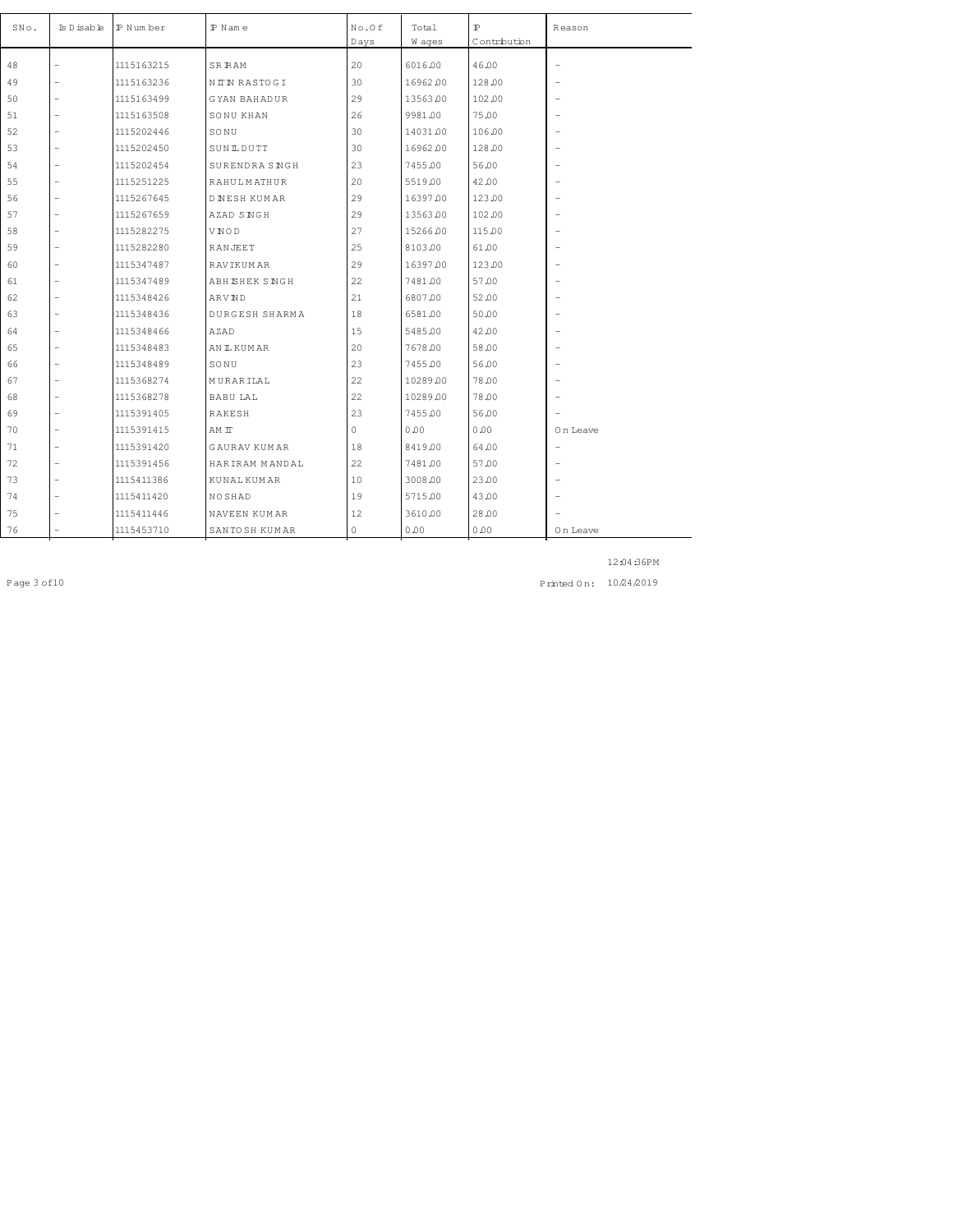| SNo. | Is D isable              | P Number   | $P$ N am e            | No.Of<br>Days | Total<br>W ages | $\mathbb{P}$<br>Contribution | Reason                   |
|------|--------------------------|------------|-----------------------|---------------|-----------------|------------------------------|--------------------------|
| 48   |                          | 1115163215 | <b>SRRAM</b>          | 20            | 6016.00         | 46.00                        | $\overline{a}$           |
| 49   | $\overline{\phantom{a}}$ | 1115163236 | NITIN RASTOGI         | 30            | 16962.00        | 128.00                       | $\overline{\phantom{0}}$ |
| 50   |                          | 1115163499 | <b>GYAN BAHADUR</b>   | 29            | 13563.00        | 102.00                       | $\overline{\phantom{0}}$ |
| 51   | $\overline{\phantom{a}}$ | 1115163508 | SONU KHAN             | 26            | 9981.00         | 75.00                        | $\overline{\phantom{a}}$ |
| 52   | $\overline{a}$           | 1115202446 | SONU                  | 30            | 14031.00        | 106.00                       |                          |
| 53   | $\overline{a}$           | 1115202450 | SUNLDUTT              | 30            | 16962.00        | 128.00                       | $\overline{\phantom{0}}$ |
|      |                          |            |                       |               |                 |                              |                          |
| 54   | $\overline{a}$           | 1115202454 | SURENDRA SNGH         | 23            | 7455.00         | 56.00                        | $\overline{\phantom{0}}$ |
| 55   | $\overline{a}$           | 1115251225 | RAHULMATHUR           | 20            | 5519.00         | 42.00                        | $\overline{\phantom{0}}$ |
| 56   | $\overline{\phantom{a}}$ | 1115267645 | <b>DINESH KUMAR</b>   | 29            | 16397.00        | 123.00                       | $\overline{a}$           |
| 57   |                          | 1115267659 | AZAD SNGH             | 29            | 13563.00        | 102.00                       | $\overline{\phantom{0}}$ |
| 58   | $\overline{a}$           | 1115282275 | VNOD                  | 27            | 15266.00        | 115.00                       | $\overline{\phantom{0}}$ |
| 59   | $\overline{a}$           | 1115282280 | RANJEET               | 25            | 8103.00         | 61.00                        | $\overline{a}$           |
| 60   |                          | 1115347487 | <b>RAVIKUMAR</b>      | 29            | 16397.00        | 123.00                       | $\overline{\phantom{a}}$ |
| 61   |                          | 1115347489 | ABH ISHEK SINGH       | 22            | 7481.00         | 57.00                        | $\overline{\phantom{0}}$ |
| 62   |                          | 1115348426 | ARVND                 | 21            | 6807.00         | 52.00                        | $\overline{\phantom{0}}$ |
| 63   | $\overline{a}$           | 1115348436 | <b>DURGESH SHARMA</b> | 18            | 6581.00         | 50.00                        | $\overline{\phantom{0}}$ |
| 64   | $\overline{a}$           | 1115348466 | AZAD                  | 15            | 5485.00         | 42.00                        | $\overline{\phantom{0}}$ |
| 65   | $\overline{\phantom{0}}$ | 1115348483 | AN IL KUM AR          | 20            | 7678.00         | 58.00                        | $\overline{\phantom{a}}$ |
| 66   | $\overline{a}$           | 1115348489 | SONU                  | 23            | 7455.00         | 56.00                        | $\overline{\phantom{a}}$ |
| 67   | $\overline{\phantom{a}}$ | 1115368274 | MURARILAL             | 22            | 10289.00        | 78.00                        | $\overline{\phantom{0}}$ |
| 68   |                          | 1115368278 | <b>BABU LAL</b>       | 22            | 10289.00        | 78.00                        |                          |
| 69   | $\overline{a}$           | 1115391405 | <b>RAKESH</b>         | 23            | 7455.00         | 56.00                        |                          |
| 70   | $\overline{\phantom{0}}$ | 1115391415 | AM IT                 | $\Omega$      | 0.00            | 0.00                         | On Leave                 |
| 71   | $\overline{\phantom{0}}$ | 1115391420 | <b>GAURAV KUMAR</b>   | 18            | 8419.00         | 64.00                        | $\overline{\phantom{a}}$ |
| 72   | $\overline{a}$           | 1115391456 | HARIRAM MANDAL        | 22            | 7481.00         | 57.00                        | $\overline{\phantom{a}}$ |
| 73   |                          | 1115411386 | <b>KUNAL KUMAR</b>    | 10            | 3008.00         | 23.00                        | $\overline{\phantom{0}}$ |
| 74   |                          | 1115411420 | NOSHAD                | 19            | 5715.00         | 43.00                        |                          |
| 75   |                          | 1115411446 | NAVEEN KUMAR          | 12            | 3610.00         | 28.00                        |                          |
| 76   |                          | 1115453710 | SANTO SH KUMAR        | $\mathbf{0}$  | 0.00            | 0.00                         | On Leave                 |

Page 3 of 10 10 24 2019 10 24 2019 10 24 2019 10 24 2019 10 24 2019 10 24 2019 10 24 2019 10 24 2019 10 24 201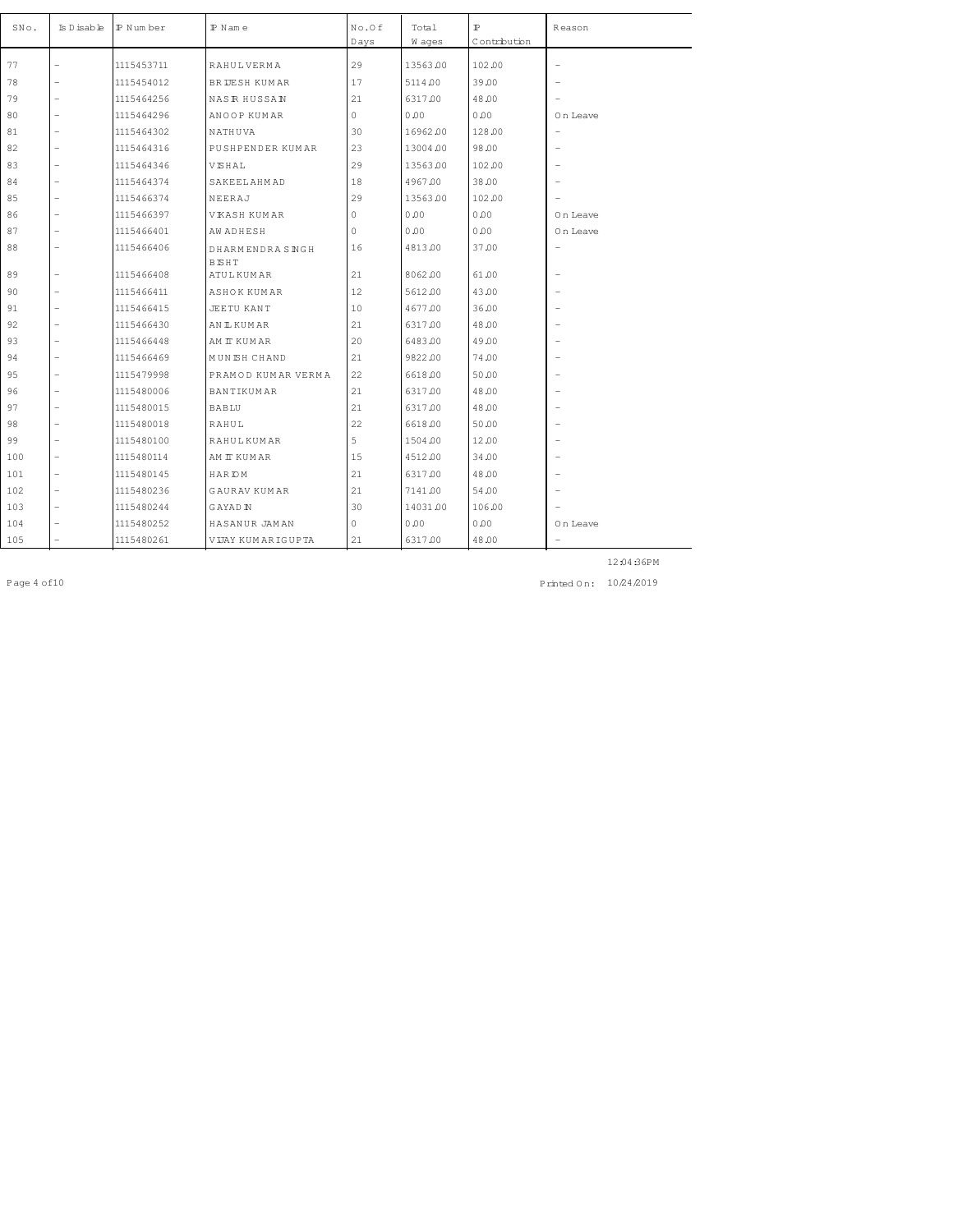| SNo. | Is D isable              | IP Number  | $P$ N am e          | No.Of<br>Days | Total<br>W ages | $\mathbb{P}$<br>Contribution | Reason                   |
|------|--------------------------|------------|---------------------|---------------|-----------------|------------------------------|--------------------------|
| 77   |                          | 1115453711 | <b>RAHULVERMA</b>   | 29            | 13563.00        | 102.00                       | $\overline{\phantom{m}}$ |
| 78   |                          | 1115454012 | BRIJESH KUMAR       | 17            | 5114.00         | 39.00                        | $\overline{\phantom{0}}$ |
| 79   |                          | 1115464256 | <b>NASR HUSSAN</b>  | 21            | 6317.00         | 48.00                        |                          |
| 80   |                          | 1115464296 | ANOOP KUMAR         | $\Omega$      | 0.00            | 0.00                         | On Leave                 |
| 81   |                          | 1115464302 | NATHUVA             | 30            | 16962.00        | 128.00                       | $\overline{\phantom{m}}$ |
| 82   |                          | 1115464316 | PUSHPENDER KUMAR    | 23            | 13004.00        | 98.00                        | $\overline{\phantom{0}}$ |
| 83   | $\overline{\phantom{0}}$ | 1115464346 | VISHAL              | 29            | 13563.00        | 102.00                       | $\overline{\phantom{0}}$ |
| 84   | $\overline{\phantom{0}}$ | 1115464374 | SAKEELAHMAD         | 18            | 4967.00         | 38.00                        | $\overline{\phantom{0}}$ |
| 85   |                          | 1115466374 | NEERAJ              | 29            | 13563.00        | 102.00                       | $\overline{\phantom{a}}$ |
| 86   | $\overline{\phantom{0}}$ | 1115466397 | VKASH KUMAR         | 0             | 0.00            | 0.00                         | On Leave                 |
| 87   | $\overline{\phantom{0}}$ | 1115466401 | <b>AW ADHESH</b>    | 0             | 0.00            | 0.00                         | On Leave                 |
| 88   |                          | 1115466406 | DHARMENDRASNGH      | 16            | 4813.00         | 37.00                        | $\overline{a}$           |
|      |                          |            | BISHT               |               |                 |                              |                          |
| 89   | $\overline{\phantom{0}}$ | 1115466408 | ATULKUMAR           | 21            | 8062.00         | 61.00                        | $\overline{\phantom{m}}$ |
| 90   | $\overline{a}$           | 1115466411 | ASHOK KUMAR         | 12            | 5612.00         | 43.00                        | $\overline{\phantom{a}}$ |
| 91   | $\overline{a}$           | 1115466415 | <b>JEETU KANT</b>   | 10            | 4677.00         | 36.00                        | $\overline{\phantom{0}}$ |
| 92   | $\overline{a}$           | 1115466430 | AN IL KUM AR        | 21            | 6317.00         | 48.00                        | $\overline{\phantom{0}}$ |
| 93   |                          | 1115466448 | AM IT KUM AR        | 20            | 6483.00         | 49.00                        | $\overline{\phantom{0}}$ |
| 94   | $\overline{\phantom{0}}$ | 1115466469 | MUNISH CHAND        | 21            | 9822.00         | 74.00                        | $\overline{\phantom{m}}$ |
| 95   | $\overline{a}$           | 1115479998 | PRAMOD KUMAR VERMA  | 22            | 6618.00         | 50.00                        | $\overline{\phantom{a}}$ |
| 96   | $\overline{\phantom{0}}$ | 1115480006 | BANTIKUMAR          | 21            | 6317.00         | 48.00                        | $\overline{\phantom{0}}$ |
| 97   |                          | 1115480015 | <b>BABLU</b>        | 21            | 6317.00         | 48.00                        |                          |
| 98   |                          | 1115480018 | RAHUL               | 22            | 6618.00         | 50.00                        |                          |
| 99   | $\overline{\phantom{0}}$ | 1115480100 | <b>RAHULKUMAR</b>   | 5             | 1504.00         | 12.00                        | $\qquad \qquad -$        |
| 100  | $\overline{\phantom{0}}$ | 1115480114 | AM IT KUM AR        | 15            | 4512.00         | 34.00                        | $\overline{\phantom{0}}$ |
| 101  | $\overline{\phantom{0}}$ | 1115480145 | HAR IOM             | 21            | 6317.00         | 48.00                        | $\overline{\phantom{a}}$ |
| 102  | $\overline{\phantom{0}}$ | 1115480236 | <b>GAURAV KUMAR</b> | 21            | 7141.00         | 54.00                        | $\overline{\phantom{0}}$ |
| 103  | $\overline{\phantom{0}}$ | 1115480244 | G AYAD IN           | 30            | 14031.00        | 106.00                       |                          |
| 104  |                          | 1115480252 | HASANUR JAMAN       | 0             | 0.00            | 0.00                         | On Leave                 |
| 105  |                          | 1115480261 | VIJAY KUMARIGUPTA   | 21            | 6317.00         | 48.00                        | $\overline{\phantom{a}}$ |

Page 4 of 10 10 24 2019 1 24 2019 1 24 2019 1 24 2019 1 24 2019 1 24 2019 1 25 2019 1 24 2019 1 24 2019 1 24 2019 1 24 2019 1 24 2019 1 24 2019 1 24 2019 1 24 2019 1 24 2019 1 24 2019 1 25 2019 1 25 2019 1 25 2019 1 25 201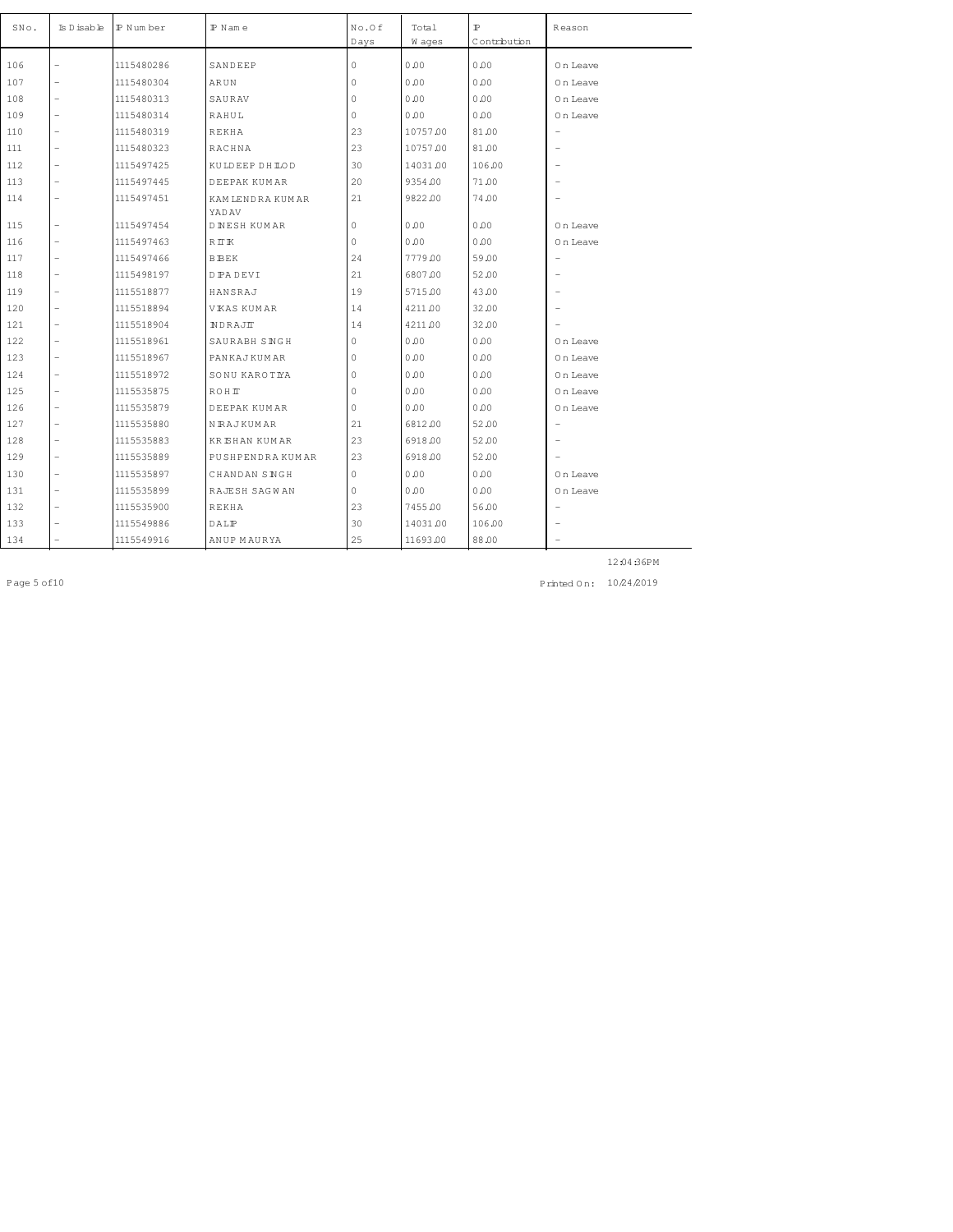| SNo. | Is D isable              | P Number   | $P$ Name                     | No.Of<br>Days | Total<br>W ages | $\mathbb{P}$<br>Contribution | Reason                     |
|------|--------------------------|------------|------------------------------|---------------|-----------------|------------------------------|----------------------------|
| 106  | -                        | 1115480286 | SANDEEP                      | $\mathbf{0}$  | 0.00            | 0.00                         | On Leave                   |
| 107  | $\overline{\phantom{0}}$ | 1115480304 | ARUN                         | $\mathbf{0}$  | 0.00            | 0.00                         | On Leave                   |
| 108  | $\overline{\phantom{0}}$ | 1115480313 | SAURAV                       | $\circ$       | 0.00            | 0.00                         | On Leave                   |
| 109  | $\overline{a}$           | 1115480314 | RAHUL                        | $\mathbf{0}$  | 0.00            | 0.00                         |                            |
| 110  | $\overline{a}$           | 1115480319 | <b>REKHA</b>                 | 23            | 10757.00        | 81.00                        | On Leave<br>$\overline{a}$ |
|      | $\overline{\phantom{0}}$ |            | RACHNA                       | 23            |                 |                              |                            |
| 111  |                          | 1115480323 |                              |               | 10757.00        | 81.00                        | $\overline{\phantom{0}}$   |
| 112  | $\overline{\phantom{0}}$ | 1115497425 | KULDEEP DH LOD               | 30            | 14031.00        | 106.00                       | $\overline{\phantom{0}}$   |
| 113  | $\overline{\phantom{0}}$ | 1115497445 | DEEPAK KUMAR                 | 20            | 9354.00         | 71.00                        | $\overline{\phantom{0}}$   |
| 114  | $\overline{\phantom{0}}$ | 1115497451 | KAM LENDRA KUMAR             | 21            | 9822.00         | 74.00                        | $\overline{\phantom{0}}$   |
| 115  | $\overline{\phantom{0}}$ | 1115497454 | YADAV<br><b>DINESH KUMAR</b> | $\circ$       | 0.00            | 0.00                         | On Leave                   |
| 116  | $\overline{\phantom{0}}$ | 1115497463 | RIK                          | $\mathbb O$   | 0.00            | 0.00                         | 0 n Leave                  |
| 117  | $\overline{a}$           | 1115497466 | <b>BBEK</b>                  | 24            | 7779.00         | 59.00                        | $\overline{\phantom{0}}$   |
| 118  | $\overline{\phantom{0}}$ | 1115498197 | D PA DEVI                    | 21            | 6807.00         | 52.00                        | $\overline{\phantom{0}}$   |
| 119  | $\overline{\phantom{0}}$ | 1115518877 | HANSRAJ                      | 19            | 5715.00         | 43.00                        |                            |
| 120  | $\overline{a}$           | 1115518894 | <b>VKAS KUMAR</b>            | 14            | 4211.00         | 32.00                        |                            |
| 121  | $\overline{a}$           | 1115518904 | NDRAJIT                      | 14            | 4211.00         | 32.00                        |                            |
| 122  | $\overline{a}$           | 1115518961 | SAURABH SINGH                | $\circ$       | 0.00            | 0.00                         | On Leave                   |
| 123  | $\overline{\phantom{0}}$ | 1115518967 | PANKAJKUMAR                  | 0             | 0.00            | 0.00                         | On Leave                   |
| 124  | -                        | 1115518972 | SONU KAROTIYA                | $\circ$       | 0.00            | 0.00                         | On Leave                   |
| 125  | $\overline{a}$           | 1115535875 | ROHIT                        | 0             | 0.00            | 0.00                         | On Leave                   |
| 126  | $\overline{a}$           | 1115535879 | DEEPAK KUMAR                 | $\mathbf{0}$  | 0.00            | 0.00                         | On Leave                   |
| 127  | $\overline{\phantom{0}}$ | 1115535880 | NRAJKUMAR                    | 21            | 6812.00         | 52.00                        | $\overline{\phantom{0}}$   |
| 128  | $\overline{a}$           | 1115535883 | <b>KRISHAN KUMAR</b>         | 23            | 6918.00         | 52.00                        | $\overline{\phantom{0}}$   |
| 129  | -                        | 1115535889 | PUSHPENDRA KUMAR             | 23            | 6918.00         | 52.00                        |                            |
| 130  | $\overline{\phantom{0}}$ | 1115535897 | CHANDAN SINGH                | $\circ$       | 0.00            | 0.00                         | On Leave                   |
| 131  | $\overline{a}$           | 1115535899 | RAJESH SAGWAN                | $\Omega$      | 0.00            | 0.00                         | On Leave                   |
| 132  | $\overline{a}$           | 1115535900 | <b>REKHA</b>                 | 23            | 7455.00         | 56.00                        | $\overline{\phantom{0}}$   |
| 133  | -                        | 1115549886 | DALP                         | 30            | 14031.00        | 106.00                       |                            |
| 134  | -                        | 1115549916 | ANUP MAURYA                  | 25            | 11693.00        | 88.00                        | $\overline{\phantom{0}}$   |

Page 5 of 10 10 24 2019 10 24 2019 10 24 2019 10 24 2019 10 24 2019 10 24 2019 10 24 2019 10 24 2019 10 24 201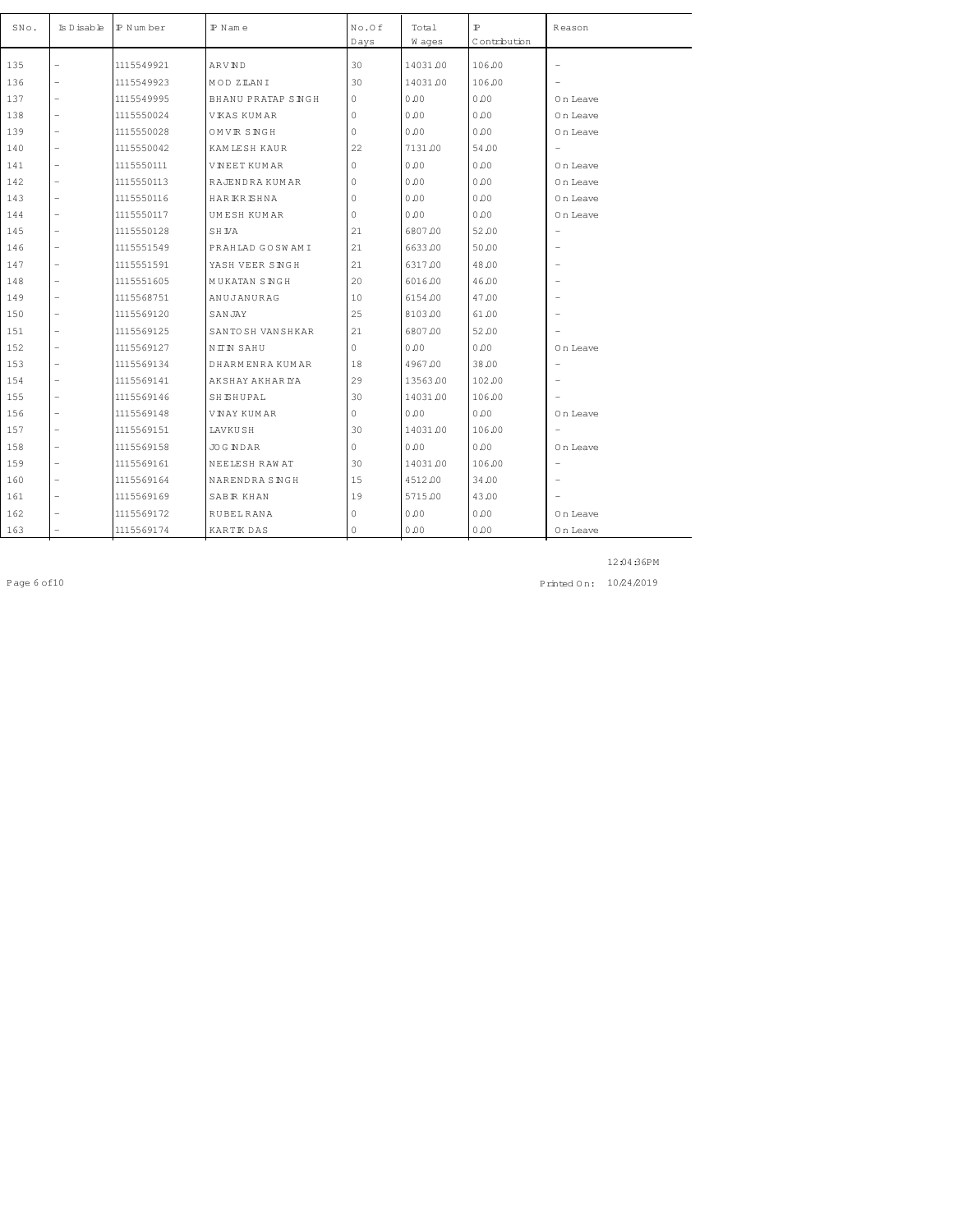| SNo. | Is D isable              | IP Number  | $P$ N am e           | No.Of<br>Days | Total<br>W ages | $\mathbb{P}$<br>Contribution | Reason                   |
|------|--------------------------|------------|----------------------|---------------|-----------------|------------------------------|--------------------------|
|      |                          |            |                      | 30            |                 |                              |                          |
| 135  | $\overline{\phantom{0}}$ | 1115549921 | ARVND                |               | 14031.00        | 106.00                       | $\overline{\phantom{0}}$ |
| 136  | -                        | 1115549923 | MOD ZIANI            | 30            | 14031.00        | 106.00                       |                          |
| 137  | $\overline{\phantom{0}}$ | 1115549995 | BHANU PRATAP SINGH   | $\circ$       | 0.00            | 0.00                         | On Leave                 |
| 138  | $\overline{\phantom{0}}$ | 1115550024 | VKAS KUMAR           | $\circ$       | 0.00            | 0.00                         | On Leave                 |
| 139  | $\overline{\phantom{0}}$ | 1115550028 | OMVR SNGH            | $\mathbf 0$   | 0.00            | 0.00                         | On Leave                 |
| 140  | $\overline{\phantom{0}}$ | 1115550042 | KAM LESH KAUR        | 22            | 7131.00         | 54.00                        | $\overline{\phantom{a}}$ |
| 141  | $\overline{\phantom{0}}$ | 1115550111 | <b>VNEET KUMAR</b>   | $\mathbf 0$   | 0.00            | 0.00                         | On Leave                 |
| 142  | $\overline{\phantom{0}}$ | 1115550113 | RAJENDRA KUMAR       | $\circ$       | 0.00            | 0.00                         | On Leave                 |
| 143  | $\overline{\phantom{0}}$ | 1115550116 | HAR KR SHNA          | $\mathbb O$   | 0.00            | 0.00                         | On Leave                 |
| 144  | $\overline{\phantom{0}}$ | 1115550117 | UMESH KUMAR          | $\circ$       | 0.00            | 0.00                         | On Leave                 |
| 145  | $\overline{\phantom{0}}$ | 1115550128 | SH NA                | 21            | 6807.00         | 52.00                        | $\overline{\phantom{a}}$ |
| 146  | $\overline{\phantom{0}}$ | 1115551549 | PRAHLAD GOSWAMI      | 21            | 6633.00         | 50.00                        | $\overline{\phantom{0}}$ |
| 147  | $\overline{\phantom{0}}$ | 1115551591 | YASH VEER SINGH      | 21            | 6317.00         | 48.00                        | $\overline{\phantom{0}}$ |
| 148  | $\overline{\phantom{0}}$ | 1115551605 | <b>MUKATAN SINGH</b> | 20            | 6016.00         | 46.00                        | $\overline{\phantom{0}}$ |
| 149  | $\overline{\phantom{0}}$ | 1115568751 | ANUJANURAG           | 10            | 6154.00         | 47.00                        | $\overline{\phantom{0}}$ |
| 150  | $\overline{\phantom{0}}$ | 1115569120 | SANJAY               | 25            | 8103.00         | 61.00                        | $\overline{\phantom{0}}$ |
| 151  | $\overline{\phantom{0}}$ | 1115569125 | SANTO SH VAN SHKAR   | 21            | 6807.00         | 52.00                        |                          |
| 152  | $\overline{\phantom{0}}$ | 1115569127 | NITN SAHU            | $\circ$       | 0.00            | 0.00                         | On Leave                 |
| 153  | $\overline{\phantom{0}}$ | 1115569134 | DHARMENRA KUMAR      | 18            | 4967.00         | 38.00                        | $\overline{\phantom{0}}$ |
| 154  | $\overline{\phantom{0}}$ | 1115569141 | AKSHAY AKHAR IYA     | 29            | 13563.00        | 102.00                       | $\overline{\phantom{0}}$ |
| 155  | $\overline{\phantom{0}}$ | 1115569146 | <b>SHISHUPAL</b>     | 30            | 14031.00        | 106.00                       |                          |
| 156  | $\overline{\phantom{0}}$ | 1115569148 | VNAY KUMAR           | $\circ$       | 0.00            | 0.00                         | On Leave                 |
| 157  | $\overline{\phantom{0}}$ | 1115569151 | LAVKUSH              | 30            | 14031.00        | 106.00                       | $\overline{\phantom{a}}$ |
| 158  | $\overline{\phantom{0}}$ | 1115569158 | <b>JOG NDAR</b>      | $\circ$       | 0.00            | 0.00                         | On Leave                 |
| 159  | $\overline{\phantom{0}}$ | 1115569161 | NEELESH RAW AT       | 30            | 14031.00        | 106.00                       | $\overline{\phantom{0}}$ |
| 160  | $\overline{\phantom{0}}$ | 1115569164 | NARENDRA SNGH        | 15            | 4512.00         | 34.00                        | $\overline{\phantom{m}}$ |
| 161  | $\overline{\phantom{0}}$ | 1115569169 | SABR KHAN            | 19            | 5715.00         | 43.00                        | $\overline{\phantom{0}}$ |
| 162  |                          | 1115569172 | <b>RUBEL RANA</b>    | $\circ$       | 0.00            | 0.00                         | On Leave                 |
| 163  | $\overline{\phantom{0}}$ | 1115569174 | KARTIK DAS           | $\mathbf{0}$  | 0.00            | 0.00                         | 0 n Leave                |

Page 6 of 10 10 24 2019 10 24 2019 10 24 2019 10 24 2019 10 24 2019 10 24 2019 10 24 2019 10 24 2019 10 24 201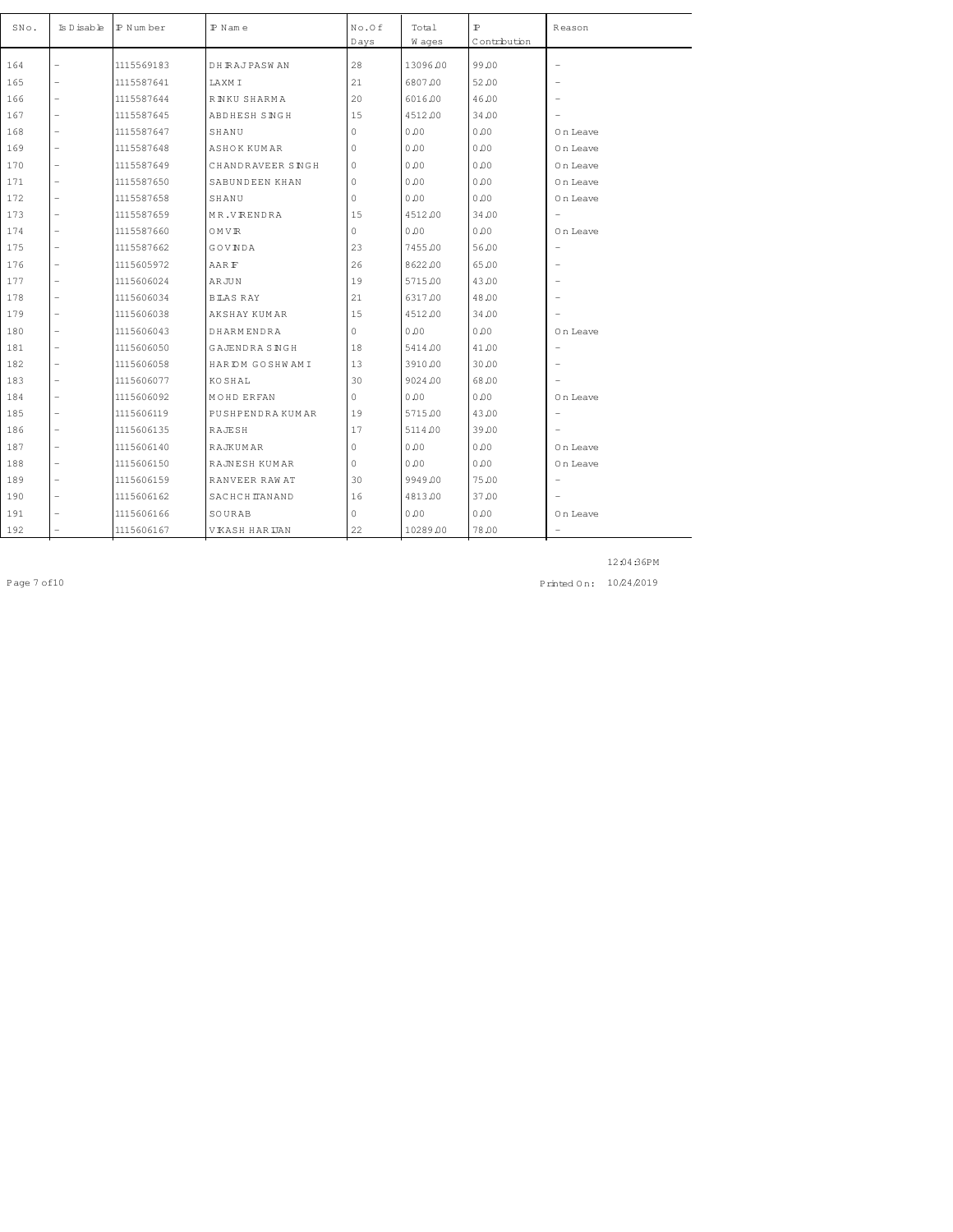| SNo. | Is D isable              | P Num ber  | $P$ N am e          | No.Of        | Total    | $\mathbbm{P}$ | Reason                   |
|------|--------------------------|------------|---------------------|--------------|----------|---------------|--------------------------|
|      |                          |            |                     | Days         | W ages   | Contribution  |                          |
| 164  | $\overline{a}$           | 1115569183 | <b>DH RAJPASWAN</b> | 28           | 13096.00 | 99.00         | $\overline{a}$           |
| 165  | $\overline{\phantom{0}}$ | 1115587641 | LAXM I              | 21           | 6807.00  | 52.00         | $\overline{\phantom{a}}$ |
| 166  | $\overline{a}$           | 1115587644 | R NKU SHARMA        | 20           | 6016.00  | 46.00         | ۰                        |
| 167  | $\overline{a}$           | 1115587645 | ABDHESH SINGH       | 15           | 4512.00  | 34.00         |                          |
| 168  | $\overline{\phantom{0}}$ | 1115587647 | SHANU               | $\mathbf{0}$ | 0.00     | 0.00          | 0 n Leave                |
| 169  | $\qquad \qquad -$        | 1115587648 | ASHOK KUMAR         | $\circ$      | 0.00     | 0.00          | On Leave                 |
| 170  | $\overline{\phantom{0}}$ | 1115587649 | CHANDRAVEER SINGH   | $\circ$      | 0.00     | 0.00          | On Leave                 |
| 171  | $\overline{\phantom{0}}$ | 1115587650 | SABUNDEEN KHAN      | $\mathbf{0}$ | 0.00     | 0.00          | On Leave                 |
| 172  | $\qquad \qquad -$        | 1115587658 | SHANU               | $\circ$      | 0.00     | 0.00          | On Leave                 |
| 173  | $\overline{a}$           | 1115587659 | MR.VRENDRA          | 15           | 4512.00  | 34.00         | $\overline{a}$           |
| 174  | $\overline{a}$           | 1115587660 | OMVR                | $\circ$      | 0.00     | 0.00          | On Leave                 |
| 175  | $\overline{a}$           | 1115587662 | GOVNDA              | 23           | 7455.00  | 56.00         | $\overline{\phantom{a}}$ |
| 176  | $\overline{a}$           | 1115605972 | AAR F               | 26           | 8622.00  | 65.00         | $\overline{\phantom{0}}$ |
| 177  | $\overline{\phantom{0}}$ | 1115606024 | <b>ARJUN</b>        | 19           | 5715.00  | 43.00         | $\overline{\phantom{a}}$ |
| 178  | $\overline{a}$           | 1115606034 | BTAS RAY            | 21           | 6317.00  | 48.00         | $\overline{\phantom{a}}$ |
| 179  | $\overline{a}$           | 1115606038 | AKSHAY KUMAR        | 15           | 4512.00  | 34.00         |                          |
| 180  | $\overline{\phantom{0}}$ | 1115606043 | DHARMENDRA          | $\circ$      | 0.00     | 0.00          | On Leave                 |
| 181  | $\overline{a}$           | 1115606050 | GAJENDRA SINGH      | 18           | 5414.00  | 41.00         | $\overline{a}$           |
| 182  | $\overline{a}$           | 1115606058 | HAR IDM GOSHWAMI    | 13           | 3910.00  | 30.00         | $\overline{\phantom{a}}$ |
| 183  | $\overline{a}$           | 1115606077 | <b>KOSHAL</b>       | 30           | 9024.00  | 68.00         | $\overline{\phantom{a}}$ |
| 184  | $\overline{\phantom{0}}$ | 1115606092 | MOHD ERFAN          | $\Omega$     | 0.00     | 0.00          | On Leave                 |
| 185  | $\overline{a}$           | 1115606119 | PUSHPENDRAKUMAR     | 19           | 5715.00  | 43.00         | $\overline{a}$           |
| 186  | $\qquad \qquad -$        | 1115606135 | RAJESH              | 17           | 5114.00  | 39.00         | $\overline{\phantom{0}}$ |
| 187  | $\overline{\phantom{0}}$ | 1115606140 | RAJKUMAR            | $\circ$      | 0.00     | 0.00          | On Leave                 |
| 188  | $\overline{a}$           | 1115606150 | RAJNESH KUMAR       | $\circ$      | 0.00     | 0.00          | On Leave                 |
| 189  | $\overline{\phantom{0}}$ | 1115606159 | RANVEER RAW AT      | 30           | 9949.00  | 75.00         | $\overline{\phantom{0}}$ |
| 190  | $\overline{a}$           | 1115606162 | SACHCH TANAND       | 16           | 4813.00  | 37.00         | $\overline{\phantom{0}}$ |
| 191  |                          | 1115606166 | SOURAB              | $\circ$      | 0.00     | 0.00          | 0 n Leave                |
| 192  |                          | 1115606167 | VKASH HAR UAN       | 22           | 10289.00 | 78.00         |                          |

Page 7 of 10 10 24 2019 10 24 2019 10 24 2019 10 24 2019 10 24 2019 10 24 2019 10 24 2019 10 24 2019 10 24 201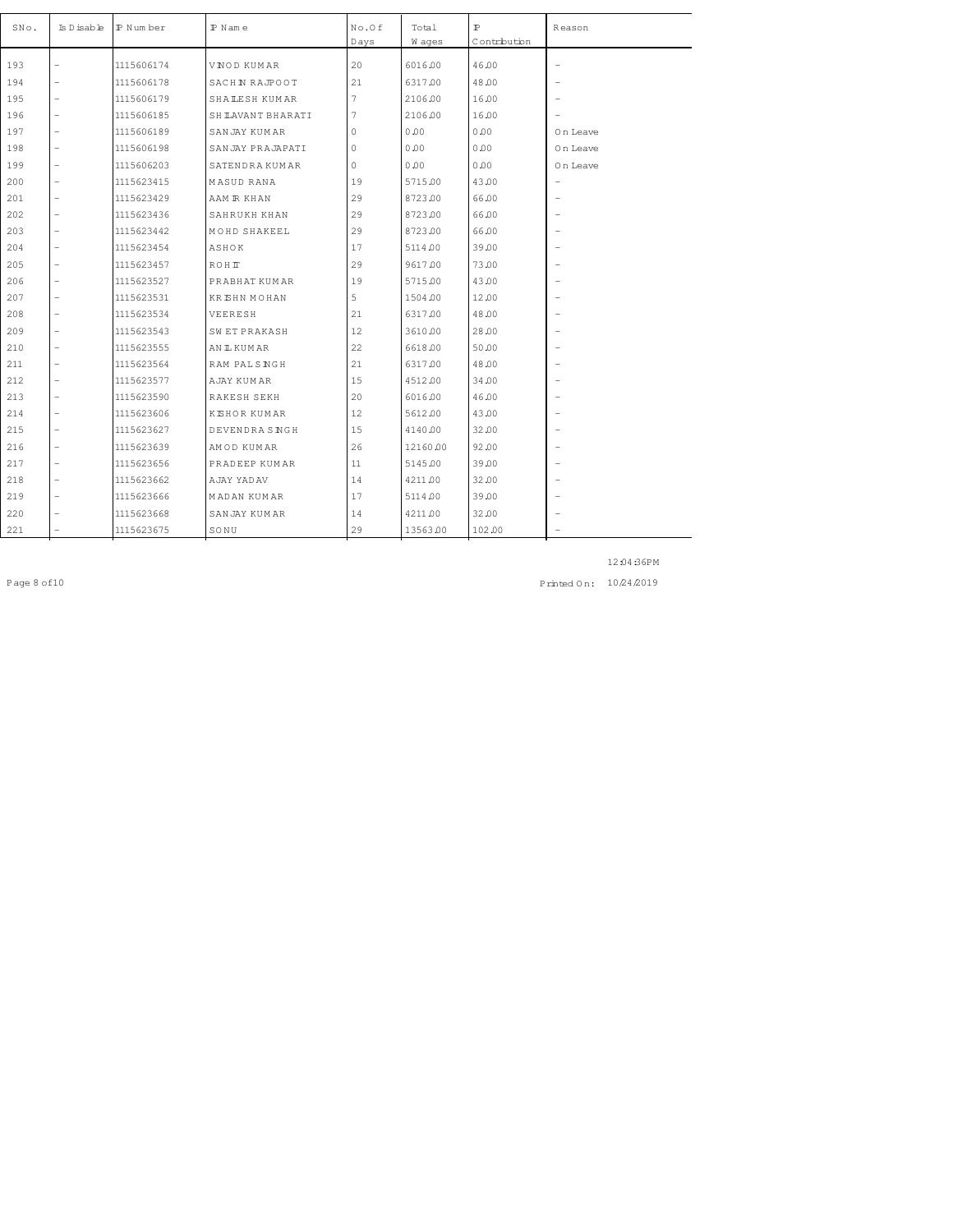| SNo. | Is D isable              | IP Number  | $P$ N am e           | No.Of<br>Days | Total<br>W ages | $\mathbb{P}$<br>Contribution | Reason                   |
|------|--------------------------|------------|----------------------|---------------|-----------------|------------------------------|--------------------------|
| 193  | $\overline{\phantom{0}}$ | 1115606174 | VNOD KUMAR           | 20            | 6016.00         | 46.00                        | $\qquad \qquad -$        |
| 194  | -                        | 1115606178 | SACHIN RAJPOOT       | 21            | 6317.00         | 48.00                        | $\overline{\phantom{0}}$ |
| 195  | $\overline{\phantom{0}}$ | 1115606179 | <b>SHALESH KUMAR</b> | 7             | 2106.00         | 16.00                        | $\overline{\phantom{0}}$ |
| 196  | $\overline{\phantom{0}}$ | 1115606185 | SH LAVANT BHARATI    | 7             | 2106.00         | 16.00                        |                          |
| 197  | $\overline{\phantom{0}}$ | 1115606189 | SANJAY KUMAR         | 0             | 0.00            | 0.00                         | On Leave                 |
| 198  | $\overline{\phantom{0}}$ | 1115606198 | SANJAY PRAJAPATI     | 0             | 0.00            | 0.00                         | On Leave                 |
|      | $\overline{a}$           |            |                      |               |                 | 0.00                         |                          |
| 199  |                          | 1115606203 | SATENDRA KUMAR       | 0             | 0.00            |                              | On Leave                 |
| 200  | $\overline{\phantom{0}}$ | 1115623415 | MASUD RANA           | 19            | 5715.00         | 43.00                        | $\qquad \qquad -$        |
| 201  | $\overline{\phantom{0}}$ | 1115623429 | AAM R KHAN           | 29            | 8723.00         | 66.00                        | $\overline{\phantom{0}}$ |
| 202  | $\overline{a}$           | 1115623436 | SAHRUKH KHAN         | 29            | 8723.00         | 66.00                        | $\overline{\phantom{0}}$ |
| 203  | $\overline{a}$           | 1115623442 | MOHD SHAKEEL         | 29            | 8723.00         | 66.00                        | $\overline{\phantom{0}}$ |
| 204  | $\overline{\phantom{0}}$ | 1115623454 | ASHOK                | 17            | 5114.00         | 39.00                        | $\overline{\phantom{0}}$ |
| 205  |                          | 1115623457 | <b>ROHIT</b>         | 29            | 9617.00         | 73.00                        |                          |
| 206  | $\overline{\phantom{0}}$ | 1115623527 | PRABHAT KUMAR        | 19            | 5715.00         | 43.00                        | $\overline{\phantom{a}}$ |
| 207  | $\overline{\phantom{0}}$ | 1115623531 | <b>KRISHN MOHAN</b>  | 5             | 1504.00         | 12.00                        | $\overline{\phantom{0}}$ |
| 208  | $\overline{a}$           | 1115623534 | VEERESH              | 21            | 6317.00         | 48.00                        | $\overline{\phantom{0}}$ |
| 209  | $\overline{\phantom{0}}$ | 1115623543 | <b>SWETPRAKASH</b>   | 12            | 3610.00         | 28.00                        | $\overline{\phantom{0}}$ |
| 210  | $\overline{\phantom{0}}$ | 1115623555 | AN IL KUM AR         | 22            | 6618.00         | 50.00                        |                          |
| 211  | $\overline{\phantom{0}}$ | 1115623564 | RAM PALSNGH          | 21            | 6317.00         | 48.00                        | $\overline{\phantom{0}}$ |
| 212  | $\overline{\phantom{0}}$ | 1115623577 | AJAY KUMAR           | 15            | 4512.00         | 34.00                        |                          |
| 213  | $\overline{\phantom{0}}$ | 1115623590 | RAKESH SEKH          | 20            | 6016.00         | 46.00                        | $\overline{\phantom{0}}$ |
| 214  | $\overline{\phantom{0}}$ | 1115623606 | <b>KISHOR KUMAR</b>  | 12            | 5612.00         | 43.00                        |                          |
| 215  | $\overline{\phantom{0}}$ | 1115623627 | DEVENDRA SNGH        | 15            | 4140.00         | 32.00                        | $\overline{\phantom{0}}$ |
| 216  | $\overline{\phantom{0}}$ | 1115623639 | AMOD KUMAR           | 26            | 12160.00        | 92.00                        | $\overline{\phantom{0}}$ |
| 217  | $\overline{\phantom{0}}$ | 1115623656 | PRADEEP KUMAR        | 11            | 5145.00         | 39.00                        | $\overline{\phantom{m}}$ |
| 218  | $\overline{\phantom{0}}$ | 1115623662 | AJAY YADAV           | 14            | 4211.00         | 32.00                        | $\overline{\phantom{0}}$ |
| 219  | $\overline{\phantom{0}}$ | 1115623666 | MADAN KUMAR          | 17            | 5114.00         | 39.00                        |                          |
| 220  | $\overline{\phantom{0}}$ | 1115623668 | SANJAY KUMAR         | 14            | 4211.00         | 32.00                        | $\overline{\phantom{0}}$ |
| 221  |                          | 1115623675 | SONU                 | 29            | 13563.00        | 102.00                       | $\overline{\phantom{0}}$ |

Page 8 of 10 10 24 2019 10 24 2019 10 24 2019 10 24 2019 10 24 2019 10 24 2019 10 24 2019 10 24 2019 10 24 201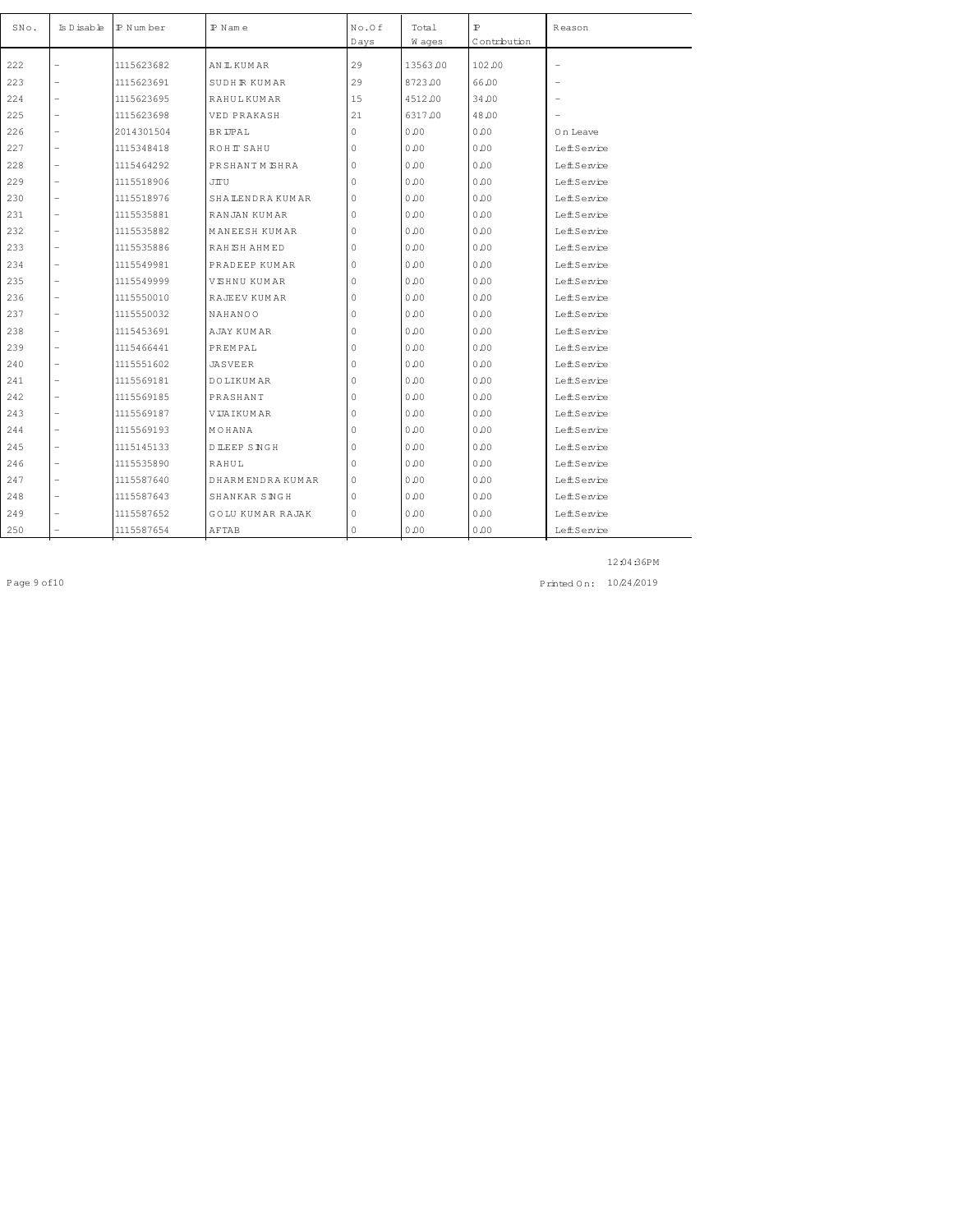| SNo. | Is D isable              | IP Num ber | $P$ N am e              | No.Of    | Total    | $\mathbb{P}$ | Reason                   |
|------|--------------------------|------------|-------------------------|----------|----------|--------------|--------------------------|
|      |                          |            |                         | Days     | W ages   | Contribution |                          |
| 222  |                          | 1115623682 | AN IL KUM AR            | 29       | 13563.00 | 102.00       | $\overline{\phantom{a}}$ |
| 223  | $\overline{\phantom{0}}$ | 1115623691 | <b>SUDHR KUMAR</b>      | 29       | 8723.00  | 66.00        |                          |
| 224  | $\overline{\phantom{0}}$ | 1115623695 | <b>RAHULKUMAR</b>       | 15       | 4512.00  | 34.00        |                          |
| 225  | $\overline{a}$           | 1115623698 | VED PRAKASH             | 21       | 6317.00  | 48.00        |                          |
| 226  |                          | 2014301504 | <b>BRIPAL</b>           | 0        | 0.00     | 0.00         | 0 n Leave                |
| 227  | $\overline{\phantom{0}}$ | 1115348418 | ROHIT SAHU              | 0        | 0.00     | 0.00         | LeftService              |
| 228  | $\overline{a}$           | 1115464292 | PRSHANTM EHRA           | 0        | 0.00     | 0.00         | <b>LeffService</b>       |
| 229  | $\overline{\phantom{0}}$ | 1115518906 | JIU                     | 0        | 0.00     | 0.00         | LeftService              |
| 230  | $\overline{\phantom{0}}$ | 1115518976 | <b>SHALENDRAKUMAR</b>   | 0        | 0.00     | 0.00         | LeftService              |
| 231  | $\overline{\phantom{0}}$ | 1115535881 | RANJAN KUMAR            | 0        | 0.00     | 0.00         | LeftService              |
| 232  | $\overline{\phantom{0}}$ | 1115535882 | MANEESH KUMAR           | 0        | 0.00     | 0.00         | LeftService              |
| 233  | $\overline{\phantom{0}}$ | 1115535886 | RAHISH AHMED            | 0        | 0.00     | 0.00         | LeftService              |
| 234  | $\overline{\phantom{0}}$ | 1115549981 | PRADEEP KUMAR           | 0        | 0.00     | 0.00         | LeftService              |
| 235  |                          | 1115549999 | VISHNU KUMAR            | 0        | 0.00     | 0.00         | LeftService              |
| 236  | $\overline{\phantom{0}}$ | 1115550010 | RAJEEV KUMAR            | 0        | 0.00     | 0.00         | LeftService              |
| 237  | $\overline{\phantom{0}}$ | 1115550032 | NAHANOO                 | $\Omega$ | 0.00     | 0.00         | <b>LeffService</b>       |
| 238  | $\overline{\phantom{0}}$ | 1115453691 | AJAY KUMAR              | 0        | 0.00     | 0.00         | LeftService              |
| 239  | $\overline{a}$           | 1115466441 | <b>PREMPAL</b>          | 0        | 0.00     | 0.00         | LeftService              |
| 240  | $\overline{\phantom{0}}$ | 1115551602 | JASVEER                 | 0        | 0.00     | 0.00         | LeftService              |
| 241  | $\overline{\phantom{0}}$ | 1115569181 | <b>DOLIKUMAR</b>        | 0        | 0.00     | 0.00         | LeftService              |
| 242  | $\overline{\phantom{0}}$ | 1115569185 | PRASHANT                | 0        | 0.00     | 0.00         | LeftService              |
| 243  | $\overline{\phantom{0}}$ | 1115569187 | VIJAIKUMAR              | $\circ$  | 0.00     | 0.00         | LeftService              |
| 244  | $\overline{a}$           | 1115569193 | MOHANA                  | 0        | 0.00     | 0.00         | LeftService              |
| 245  | $\overline{\phantom{0}}$ | 1115145133 | DILEEP SNGH             | 0        | 0.00     | 0.00         | <b>LeffService</b>       |
| 246  | $\overline{\phantom{0}}$ | 1115535890 | RAHUL                   | 0        | 0.00     | 0.00         | LeftService              |
| 247  | $\overline{a}$           | 1115587640 | DHARMENDRA KUMAR        | 0        | 0.00     | 0.00         | LeftService              |
| 248  |                          | 1115587643 | SHANKAR SINGH           | 0        | 0.00     | 0.00         | LeftService              |
| 249  |                          | 1115587652 | <b>GOLU KUMAR RAJAK</b> | 0        | 0.00     | 0.00         | LeftService              |
| 250  |                          | 1115587654 | AFTAB                   | 0        | 0.00     | 0.00         | LeftService              |

Page 9 of 10 10 24 2019 10 24 2019 10 24 2019 10 24 2019 10 24 2019 10 24 2019 10 24 2019 10 24 2019 10 24 201